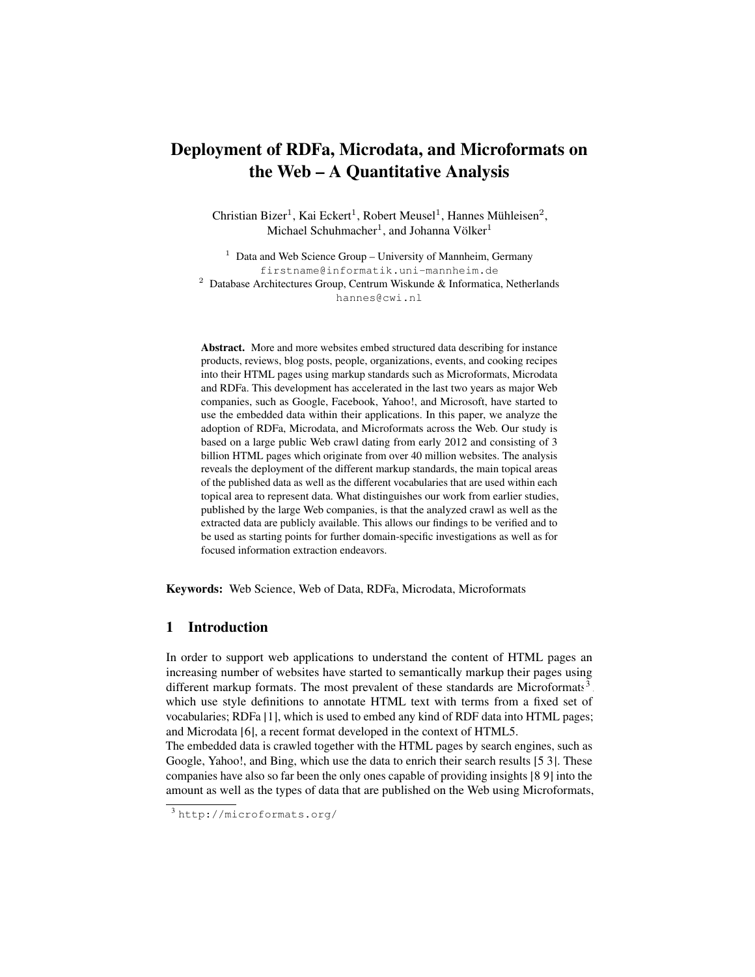# Deployment of RDFa, Microdata, and Microformats on the Web – A Quantitative Analysis

Christian Bizer<sup>1</sup>, Kai Eckert<sup>1</sup>, Robert Meusel<sup>1</sup>, Hannes Mühleisen<sup>2</sup>, Michael Schuhmacher<sup>1</sup>, and Johanna Völker<sup>1</sup>

 $1$  Data and Web Science Group – University of Mannheim, Germany firstname@informatik.uni-mannheim.de  $2$  Database Architectures Group, Centrum Wiskunde & Informatica, Netherlands hannes@cwi.nl

Abstract. More and more websites embed structured data describing for instance products, reviews, blog posts, people, organizations, events, and cooking recipes into their HTML pages using markup standards such as Microformats, Microdata and RDFa. This development has accelerated in the last two years as major Web companies, such as Google, Facebook, Yahoo!, and Microsoft, have started to use the embedded data within their applications. In this paper, we analyze the adoption of RDFa, Microdata, and Microformats across the Web. Our study is based on a large public Web crawl dating from early 2012 and consisting of 3 billion HTML pages which originate from over 40 million websites. The analysis reveals the deployment of the different markup standards, the main topical areas of the published data as well as the different vocabularies that are used within each topical area to represent data. What distinguishes our work from earlier studies, published by the large Web companies, is that the analyzed crawl as well as the extracted data are publicly available. This allows our findings to be verified and to be used as starting points for further domain-specific investigations as well as for focused information extraction endeavors.

Keywords: Web Science, Web of Data, RDFa, Microdata, Microformats

# 1 Introduction

In order to support web applications to understand the content of HTML pages an increasing number of websites have started to semantically markup their pages using different markup formats. The most prevalent of these standards are Microformats<sup>[3](#page-0-0)</sup>, which use style definitions to annotate HTML text with terms from a fixed set of vocabularies; RDFa [\[1\]](#page-15-0), which is used to embed any kind of RDF data into HTML pages; and Microdata [\[6\]](#page-15-1), a recent format developed in the context of HTML5.

The embedded data is crawled together with the HTML pages by search engines, such as Google, Yahoo!, and Bing, which use the data to enrich their search results [\[5](#page-15-2)[,3\]](#page-15-3). These companies have also so far been the only ones capable of providing insights [\[8](#page-15-4)[,9\]](#page-15-5) into the amount as well as the types of data that are published on the Web using Microformats,

<span id="page-0-0"></span><sup>3</sup> <http://microformats.org/>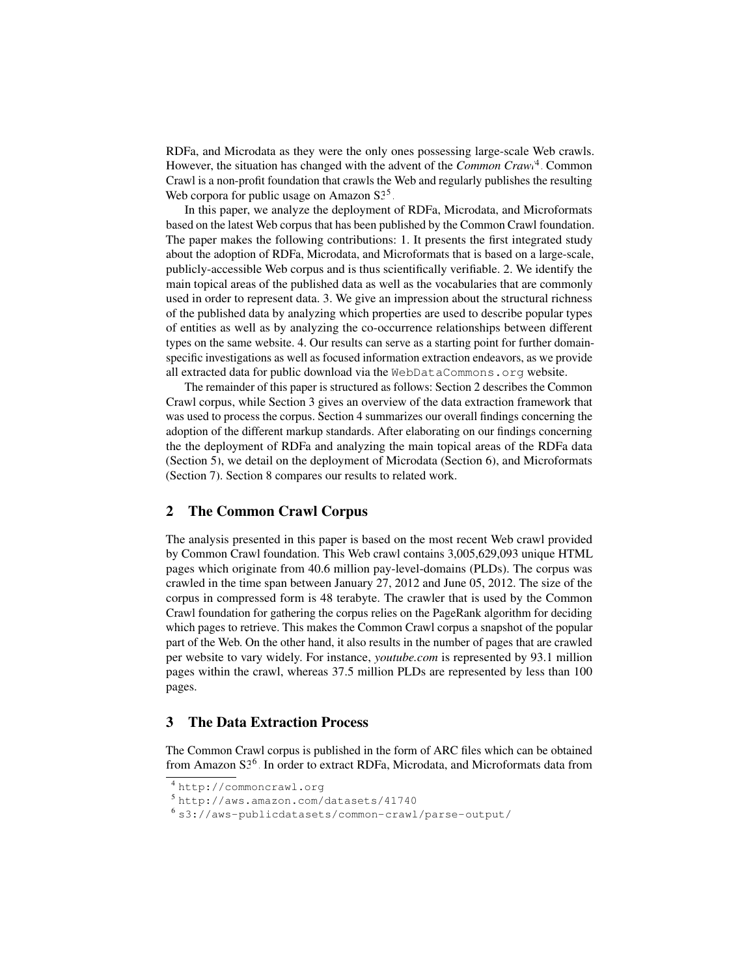RDFa, and Microdata as they were the only ones possessing large-scale Web crawls. However, the situation has changed with the advent of the *Common Crawl*[4](#page-1-0) . Common Crawl is a non-profit foundation that crawls the Web and regularly publishes the resulting Web corpora for public usage on Amazon  $S3<sup>5</sup>$  $S3<sup>5</sup>$  $S3<sup>5</sup>$ .

In this paper, we analyze the deployment of RDFa, Microdata, and Microformats based on the latest Web corpus that has been published by the Common Crawl foundation. The paper makes the following contributions: 1. It presents the first integrated study about the adoption of RDFa, Microdata, and Microformats that is based on a large-scale, publicly-accessible Web corpus and is thus scientifically verifiable. 2. We identify the main topical areas of the published data as well as the vocabularies that are commonly used in order to represent data. 3. We give an impression about the structural richness of the published data by analyzing which properties are used to describe popular types of entities as well as by analyzing the co-occurrence relationships between different types on the same website. 4. Our results can serve as a starting point for further domainspecific investigations as well as focused information extraction endeavors, as we provide all extracted data for public download via the <WebDataCommons.org> website.

The remainder of this paper is structured as follows: Section [2](#page-1-2) describes the Common Crawl corpus, while Section [3](#page-1-3) gives an overview of the data extraction framework that was used to process the corpus. Section [4](#page-2-0) summarizes our overall findings concerning the adoption of the different markup standards. After elaborating on our findings concerning the the deployment of RDFa and analyzing the main topical areas of the RDFa data (Section [5\)](#page-4-0), we detail on the deployment of Microdata (Section [6\)](#page-7-0), and Microformats (Section [7\)](#page-11-0). Section [8](#page-13-0) compares our results to related work.

## <span id="page-1-2"></span>2 The Common Crawl Corpus

The analysis presented in this paper is based on the most recent Web crawl provided by Common Crawl foundation. This Web crawl contains 3,005,629,093 unique HTML pages which originate from 40.6 million pay-level-domains (PLDs). The corpus was crawled in the time span between January 27, 2012 and June 05, 2012. The size of the corpus in compressed form is 48 terabyte. The crawler that is used by the Common Crawl foundation for gathering the corpus relies on the PageRank algorithm for deciding which pages to retrieve. This makes the Common Crawl corpus a snapshot of the popular part of the Web. On the other hand, it also results in the number of pages that are crawled per website to vary widely. For instance, *youtube.com* is represented by 93.1 million pages within the crawl, whereas 37.5 million PLDs are represented by less than 100 pages.

## <span id="page-1-3"></span>3 The Data Extraction Process

The Common Crawl corpus is published in the form of ARC files which can be obtained from Amazon S3<sup>[6](#page-1-4)</sup>. In order to extract RDFa, Microdata, and Microformats data from

<span id="page-1-0"></span><sup>4</sup> <http://commoncrawl.org>

<span id="page-1-1"></span><sup>5</sup> <http://aws.amazon.com/datasets/41740>

<span id="page-1-4"></span><sup>6</sup> <s3://aws-publicdatasets/common-crawl/parse-output/>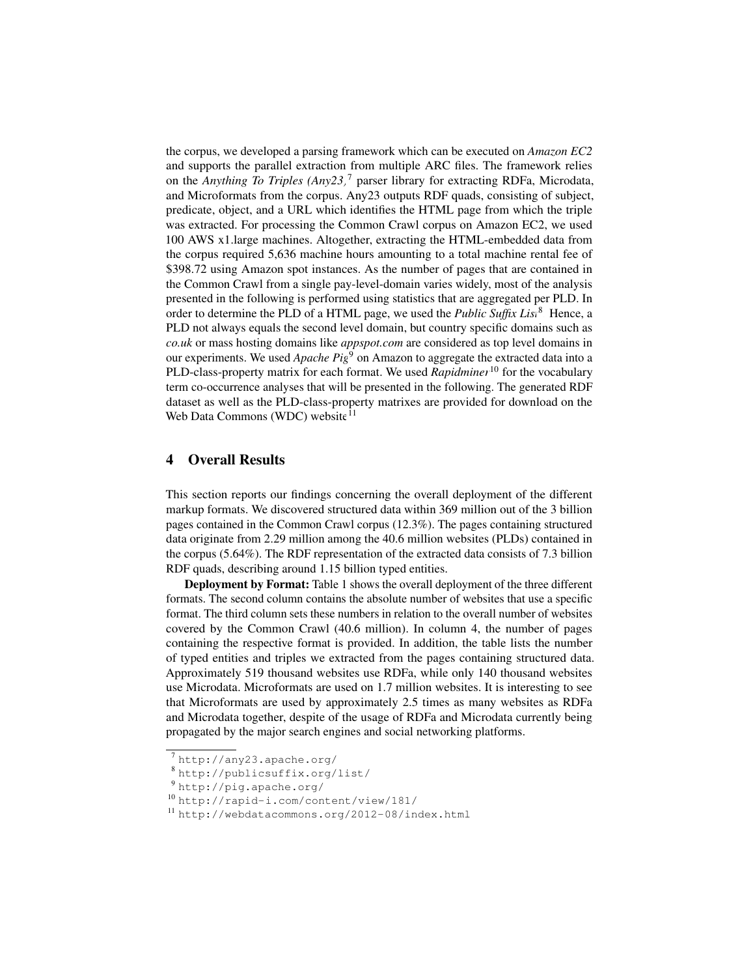the corpus, we developed a parsing framework which can be executed on *Amazon EC2* and supports the parallel extraction from multiple ARC files. The framework relies on the *Anything To Triples (Any23)*[7](#page-2-1) parser library for extracting RDFa, Microdata, and Microformats from the corpus. Any23 outputs RDF quads, consisting of subject, predicate, object, and a URL which identifies the HTML page from which the triple was extracted. For processing the Common Crawl corpus on Amazon EC2, we used 100 AWS x1.large machines. Altogether, extracting the HTML-embedded data from the corpus required 5,636 machine hours amounting to a total machine rental fee of \$398.72 using Amazon spot instances. As the number of pages that are contained in the Common Crawl from a single pay-level-domain varies widely, most of the analysis presented in the following is performed using statistics that are aggregated per PLD. In order to determine the PLD of a HTML page, we used the *Public Suffix List<sup>[8](#page-2-2)</sup>*. Hence, a PLD not always equals the second level domain, but country specific domains such as *co.uk* or mass hosting domains like *appspot.com* are considered as top level domains in our experiments. We used *Apache Pig*[9](#page-2-3) on Amazon to aggregate the extracted data into a PLD-class-property matrix for each format. We used *Rapidminer*<sup>[10](#page-2-4)</sup> for the vocabulary term co-occurrence analyses that will be presented in the following. The generated RDF dataset as well as the PLD-class-property matrixes are provided for download on the Web Data Commons (WDC) website<sup>[11](#page-2-5)</sup>.

#### <span id="page-2-0"></span>4 Overall Results

This section reports our findings concerning the overall deployment of the different markup formats. We discovered structured data within 369 million out of the 3 billion pages contained in the Common Crawl corpus (12.3%). The pages containing structured data originate from 2.29 million among the 40.6 million websites (PLDs) contained in the corpus (5.64%). The RDF representation of the extracted data consists of 7.3 billion RDF quads, describing around 1.15 billion typed entities.

Deployment by Format: Table [1](#page-3-0) shows the overall deployment of the three different formats. The second column contains the absolute number of websites that use a specific format. The third column sets these numbers in relation to the overall number of websites covered by the Common Crawl (40.6 million). In column 4, the number of pages containing the respective format is provided. In addition, the table lists the number of typed entities and triples we extracted from the pages containing structured data. Approximately 519 thousand websites use RDFa, while only 140 thousand websites use Microdata. Microformats are used on 1.7 million websites. It is interesting to see that Microformats are used by approximately 2.5 times as many websites as RDFa and Microdata together, despite of the usage of RDFa and Microdata currently being propagated by the major search engines and social networking platforms.

<span id="page-2-1"></span><sup>7</sup> <http://any23.apache.org/>

<span id="page-2-2"></span><sup>8</sup> <http://publicsuffix.org/list/>

<span id="page-2-3"></span><sup>9</sup> <http://pig.apache.org/>

<span id="page-2-4"></span><sup>10</sup> <http://rapid-i.com/content/view/181/>

<span id="page-2-5"></span><sup>11</sup> <http://webdatacommons.org/2012-08/index.html>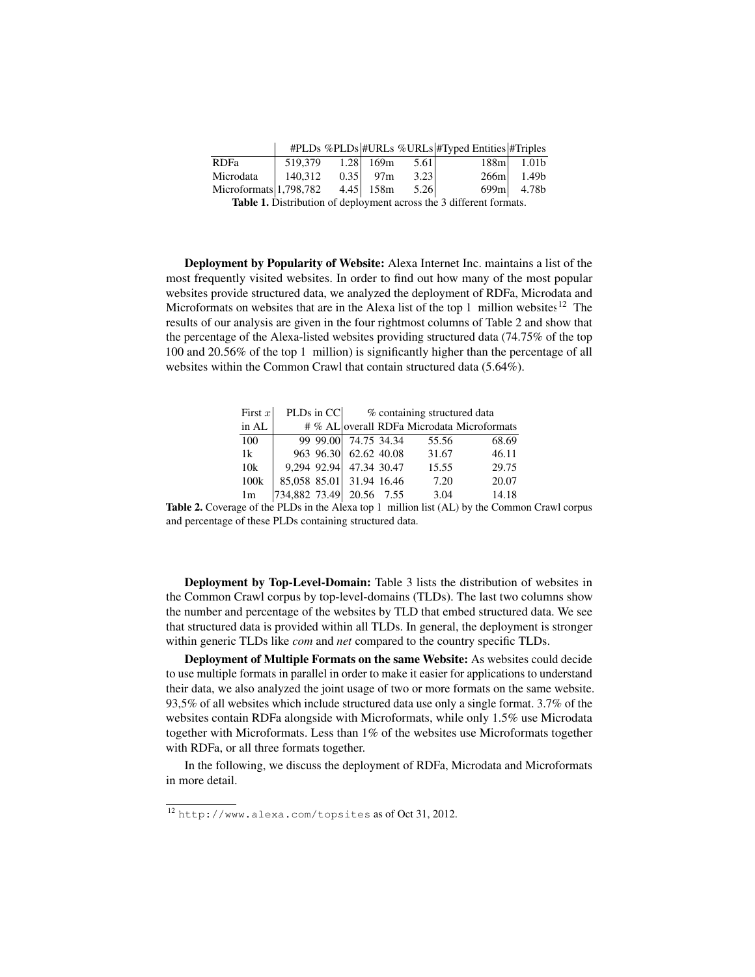|                           |         |             |      | #PLDs %PLDs #URLs %URLs #Typed Entities #Triples                                                                                                                                                                                               |            |
|---------------------------|---------|-------------|------|------------------------------------------------------------------------------------------------------------------------------------------------------------------------------------------------------------------------------------------------|------------|
| <b>RDFa</b>               | 519.379 | $1.28$ 169m | 5.61 |                                                                                                                                                                                                                                                | 188m 1.01b |
| Microdata                 | 140.312 | $0.35$ 97m  | 3.23 | 266m                                                                                                                                                                                                                                           | 1.49b      |
| Microformats $ 1,798,782$ |         | 4.45 158m   | 5.26 |                                                                                                                                                                                                                                                | 699m 4.78b |
|                           |         |             |      | $\text{Total} \times \text{1}$ $\text{D}_{\text{total}}$ $\text{L}_{\text{total}}$ $\text{L}_{\text{total}}$ $\text{L}_{\text{total}}$ $\text{L}_{\text{total}}$ $\text{L}_{\text{total}}$ $\text{L}_{\text{total}}$ $\text{L}_{\text{total}}$ |            |

<span id="page-3-0"></span>Table 1. Distribution of deployment across the 3 different formats.

Deployment by Popularity of Website: Alexa Internet Inc. maintains a list of the most frequently visited websites. In order to find out how many of the most popular websites provide structured data, we analyzed the deployment of RDFa, Microdata and Microformats on websites that are in the Alexa list of the top 1 million websites<sup>[12](#page-3-1)</sup>. The results of our analysis are given in the four rightmost columns of Table [2](#page-3-2) and show that the percentage of the Alexa-listed websites providing structured data (74.75% of the top 100 and 20.56% of the top 1 million) is significantly higher than the percentage of all websites within the Common Crawl that contain structured data (5.64%).

| First $x$      |                           | PLDs in CC |                         | % containing structured data |                                            |
|----------------|---------------------------|------------|-------------------------|------------------------------|--------------------------------------------|
| in AL          |                           |            |                         |                              | # % AL overall RDFa Microdata Microformats |
| 100            |                           |            | 99 99.00 74.75 34.34    | 55.56                        | 68.69                                      |
| 1k             |                           |            | 963 96.30 62.62 40.08   | 31.67                        | 46.11                                      |
| 10k            |                           |            | 9,294 92.94 47.34 30.47 | 15.55                        | 29.75                                      |
| 100k           | 85,058 85.01 31.94 16.46  |            |                         | 7.20                         | 20.07                                      |
| 1 <sub>m</sub> | 734,882 73.49  20.56 7.55 |            |                         | 3.04                         | 14.18                                      |

<span id="page-3-2"></span>Table 2. Coverage of the PLDs in the Alexa top 1 million list (AL) by the Common Crawl corpus and percentage of these PLDs containing structured data.

Deployment by Top-Level-Domain: Table [3](#page-4-1) lists the distribution of websites in the Common Crawl corpus by top-level-domains (TLDs). The last two columns show the number and percentage of the websites by TLD that embed structured data. We see that structured data is provided within all TLDs. In general, the deployment is stronger within generic TLDs like *com* and *net* compared to the country specific TLDs.

Deployment of Multiple Formats on the same Website: As websites could decide to use multiple formats in parallel in order to make it easier for applications to understand their data, we also analyzed the joint usage of two or more formats on the same website. 93,5% of all websites which include structured data use only a single format. 3.7% of the websites contain RDFa alongside with Microformats, while only 1.5% use Microdata together with Microformats. Less than 1% of the websites use Microformats together with RDFa, or all three formats together.

In the following, we discuss the deployment of RDFa, Microdata and Microformats in more detail.

<span id="page-3-1"></span><sup>12</sup> <http://www.alexa.com/topsites> as of Oct 31, 2012.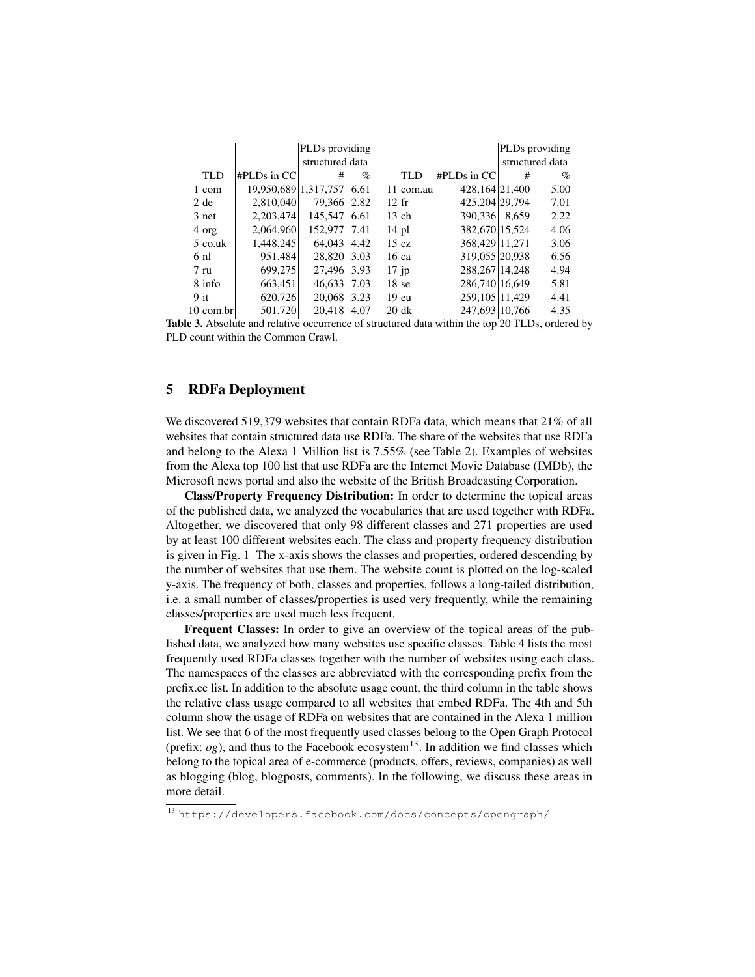|                   |                           | PLDs providing  |      |                  | PLDs providing   |                 |      |
|-------------------|---------------------------|-----------------|------|------------------|------------------|-----------------|------|
|                   |                           | structured data |      |                  |                  | structured data |      |
| <b>TLD</b>        | $HPLDs$ in $CC$           | #               | $\%$ | <b>TLD</b>       | $\#PLDs$ in $CC$ | #               | $\%$ |
| 1 com             | 19.950.689 1.317.757 6.61 |                 |      | 11 com.au        | 428.164 21.400   |                 | 5.00 |
| 2 de              | 2,810,040                 | 79.366 2.82     |      | $12$ fr          | 425.204 29.794   |                 | 7.01 |
| 3 net             | 2,203,474                 | 145.547 6.61    |      | $13$ ch          | 390,336 8,659    |                 | 2.22 |
| 4 org             | 2,064,960                 | 152.977 7.41    |      | $14$ pl          | 382.670 15.524   |                 | 4.06 |
| $5 \text{ co.uk}$ | 1,448,245                 | 64,043 4.42     |      | $15 \text{ }$ cz | 368,429 11,271   |                 | 3.06 |
| 6nl               | 951,484                   | 28,820 3.03     |      | 16ca             | 319,055 20,938   |                 | 6.56 |
| $7 \mathrm{ru}$   | 699,275                   | 27,496 3.93     |      | $17$ jp          | 288, 267 14, 248 |                 | 4.94 |
| 8 info            | 663.451                   | 46,633 7.03     |      | 18 <sub>se</sub> | 286,740 16,649   |                 | 5.81 |
| $9$ it            | 620,726                   | 20.068 3.23     |      | 19 <sub>eu</sub> | 259, 105 11.429  |                 | 4.41 |
| $10$ com.br       | 501,720                   | 20.418 4.07     |      | $20 \, dk$       | 247.693 10.766   |                 | 4.35 |

<span id="page-4-1"></span>Table 3. Absolute and relative occurrence of structured data within the top 20 TLDs, ordered by PLD count within the Common Crawl.

## <span id="page-4-0"></span>5 RDFa Deployment

We discovered 519,379 websites that contain RDFa data, which means that 21% of all websites that contain structured data use RDFa. The share of the websites that use RDFa and belong to the Alexa 1 Million list is 7.55% (see Table [2\)](#page-3-2). Examples of websites from the Alexa top 100 list that use RDFa are the Internet Movie Database (IMDb), the Microsoft news portal and also the website of the British Broadcasting Corporation.

Class/Property Frequency Distribution: In order to determine the topical areas of the published data, we analyzed the vocabularies that are used together with RDFa. Altogether, we discovered that only 98 different classes and 271 properties are used by at least 100 different websites each. The class and property frequency distribution is given in Fig. [1.](#page-5-0) The x-axis shows the classes and properties, ordered descending by the number of websites that use them. The website count is plotted on the log-scaled y-axis. The frequency of both, classes and properties, follows a long-tailed distribution, i.e. a small number of classes/properties is used very frequently, while the remaining classes/properties are used much less frequent.

Frequent Classes: In order to give an overview of the topical areas of the published data, we analyzed how many websites use specific classes. Table [4](#page-5-1) lists the most frequently used RDFa classes together with the number of websites using each class. The namespaces of the classes are abbreviated with the corresponding prefix from the prefix.cc list. In addition to the absolute usage count, the third column in the table shows the relative class usage compared to all websites that embed RDFa. The 4th and 5th column show the usage of RDFa on websites that are contained in the Alexa 1 million list. We see that 6 of the most frequently used classes belong to the Open Graph Protocol (prefix:  $og$ ), and thus to the Facebook ecosystem<sup>[13](#page-4-2)</sup>. In addition we find classes which belong to the topical area of e-commerce (products, offers, reviews, companies) as well as blogging (blog, blogposts, comments). In the following, we discuss these areas in more detail.

<span id="page-4-2"></span><sup>13</sup> <https://developers.facebook.com/docs/concepts/opengraph/>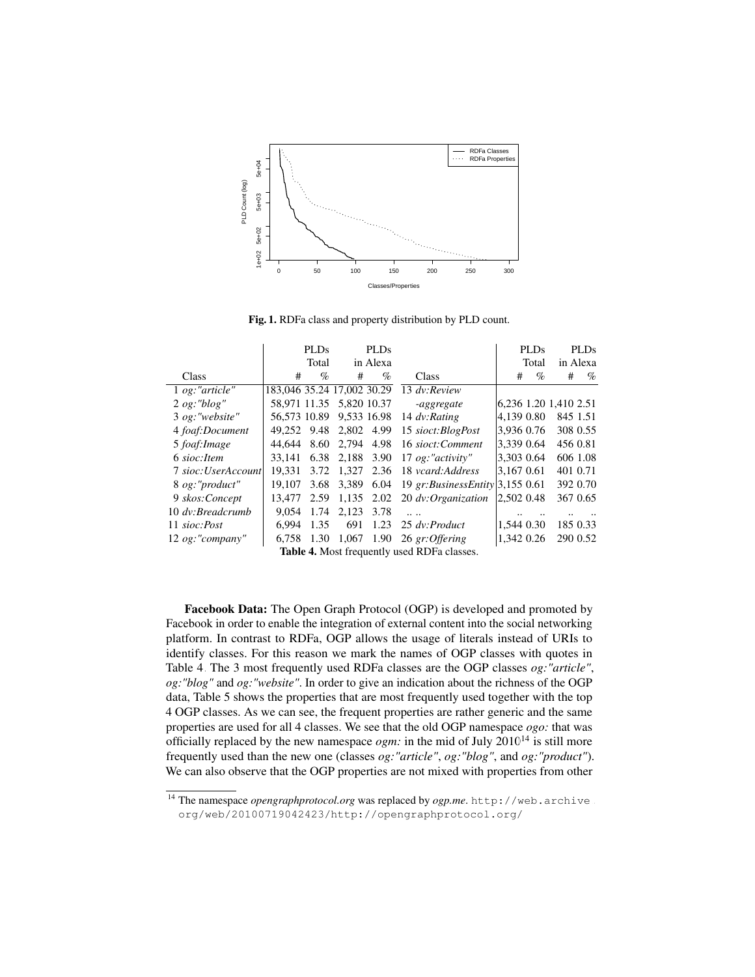

<span id="page-5-0"></span>Fig. 1. RDFa class and property distribution by PLD count.

|                                                   |                            | <b>PLDs</b> |                          | PLD <sub>s</sub> |                                 |            | PLD <sub>s</sub> |                       | <b>PLDs</b> |
|---------------------------------------------------|----------------------------|-------------|--------------------------|------------------|---------------------------------|------------|------------------|-----------------------|-------------|
|                                                   |                            | Total       |                          | in Alexa         |                                 |            | Total            |                       | in Alexa    |
| Class                                             | #                          | $\%$        | #                        | $\%$             | Class                           | #          | $\%$             | #                     | %           |
| $1$ og: "article"                                 | 183,046 35.24 17,002 30.29 |             |                          |                  | 13 dv:Review                    |            |                  |                       |             |
| $2$ og: "blog"                                    |                            |             | 58.971 11.35 5.820 10.37 |                  | -aggregate                      |            |                  | 6,236 1.20 1,410 2.51 |             |
| $3$ og: "website"                                 |                            |             | 56.573 10.89 9.533 16.98 |                  | 14 dv:Rating                    | 4,139 0.80 |                  | 845 1.51              |             |
| 4 foaf:Document                                   |                            |             | 49,252 9.48 2,802 4.99   |                  | 15 sioct:BlogPost               | 3,936 0.76 |                  | 308 0.55              |             |
| 5 foaf: Image                                     |                            |             | 44.644 8.60 2.794        | 4.98             | 16 sioct: Comment               | 3.339 0.64 |                  | 456 0.81              |             |
| 6 sioc: Item                                      | 33.141                     |             | 6.38 2.188               | 3.90             | $17$ og: "activity"             | 3,303 0.64 |                  | 606 1.08              |             |
| 7 sioc: UserAccount                               | 19.331                     | 3.72        | 1,327 2.36               |                  | 18 <i>vcard:Address</i>         | 3,167 0.61 |                  | 401 0.71              |             |
| 8 og: "product"                                   | 19.107                     | 3.68        | 3,389                    | 6.04             | 19 gr:BusinessEntity 3,155 0.61 |            |                  | 392 0.70              |             |
| 9 skos: Concept                                   | 13.477                     | 2.59        |                          | 1,135 2.02       | 20 dv:Organization              | 2.502 0.48 |                  | 367 0.65              |             |
| 10 dv:Breadcrumb                                  | 9.054                      | 1.74        | 2.123                    | 3.78             | $\cdots$                        |            |                  |                       |             |
| 11 sioc:Post                                      | 6.994                      | 1.35        | 691                      | 1.23             | 25 dv:Product                   | 1.544 0.30 |                  | 185 0.33              |             |
| $12$ og: "company"                                |                            | 6.758 1.30  | 1,067 1.90               |                  | 26 gr:Offering                  | 1,342 0.26 |                  | 290 0.52              |             |
| <b>Table 4.</b> Most frequently used RDEa classes |                            |             |                          |                  |                                 |            |                  |                       |             |

<span id="page-5-1"></span>Table 4. Most frequently used RDFa classes.

Facebook Data: The Open Graph Protocol (OGP) is developed and promoted by Facebook in order to enable the integration of external content into the social networking platform. In contrast to RDFa, OGP allows the usage of literals instead of URIs to identify classes. For this reason we mark the names of OGP classes with quotes in Table [4.](#page-5-1) The 3 most frequently used RDFa classes are the OGP classes *og:"article"*, *og:"blog"* and *og:"website"*. In order to give an indication about the richness of the OGP data, Table [5](#page-6-0) shows the properties that are most frequently used together with the top 4 OGP classes. As we can see, the frequent properties are rather generic and the same properties are used for all 4 classes. We see that the old OGP namespace *ogo:* that was officially replaced by the new namespace  $ogm$ : in the mid of July 2010<sup>[14](#page-5-2)</sup> is still more frequently used than the new one (classes *og:"article"*, *og:"blog"*, and *og:"product"*). We can also observe that the OGP properties are not mixed with properties from other

<span id="page-5-2"></span><sup>14</sup> The namespace *opengraphprotocol.org* was replaced by *ogp.me*. [http://web.archive.](http://web.archive.org/web/20100719042423/http://opengraphprotocol.org/) [org/web/20100719042423/http://opengraphprotocol.org/](http://web.archive.org/web/20100719042423/http://opengraphprotocol.org/)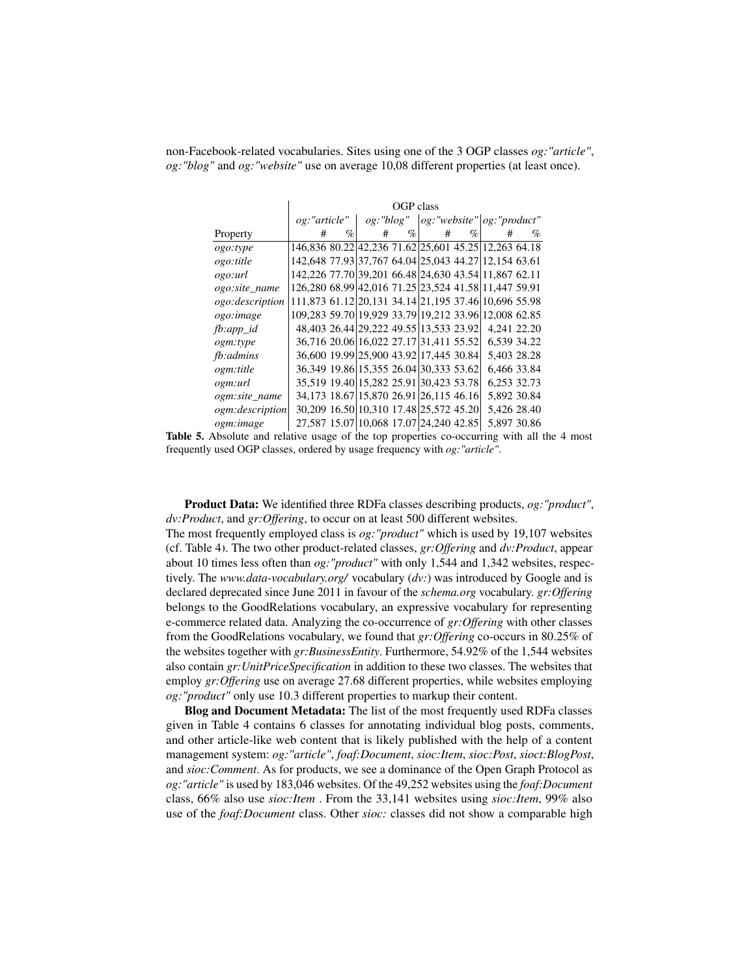non-Facebook-related vocabularies. Sites using one of the 3 OGP classes *og:"article"*, *og:"blog"* and *og:"website"* use on average 10,08 different properties (at least once).

|                        | OGP class                                            |      |                                        |           |   |      |                                   |      |
|------------------------|------------------------------------------------------|------|----------------------------------------|-----------|---|------|-----------------------------------|------|
|                        | og:"article"                                         |      |                                        | og:"blog" |   |      | $log$ : "website"   og: "product" |      |
| Property               | #                                                    | $\%$ | #                                      | $\%$      | # | $\%$ | #                                 | $\%$ |
| ogo:type               | 146,836 80.22 42,236 71.62 25,601 45.25 12,263 64.18 |      |                                        |           |   |      |                                   |      |
| ogo:title              | 142,648 77.93 37,767 64.04 25,043 44.27 12,154 63.61 |      |                                        |           |   |      |                                   |      |
| 0.09                   | 142,226 77.70 39,201 66.48 24,630 43.54 11,867 62.11 |      |                                        |           |   |      |                                   |      |
| ogo:site_name          | 126,280 68.99 42,016 71.25 23,524 41.58 11,447 59.91 |      |                                        |           |   |      |                                   |      |
| ogo:description        | 111,873 61.12 20,131 34.14 21,195 37.46 10,696 55.98 |      |                                        |           |   |      |                                   |      |
| ogo:image              | 109.283 59.70 19.929 33.79 19.212 33.96 12.008 62.85 |      |                                        |           |   |      |                                   |      |
| $fb:app_id$            |                                                      |      | 48,403 26.44 29,222 49.55 13,533 23.92 |           |   |      | 4,241 22.20                       |      |
| ogm:type               |                                                      |      | 36,716 20.06 16,022 27.17 31,411 55.52 |           |   |      | 6,539 34.22                       |      |
| fb:admins              |                                                      |      | 36,600 19.99 25,900 43.92 17.445 30.84 |           |   |      | 5.403 28.28                       |      |
| ogm:title              |                                                      |      | 36,349 19.86 15,355 26.04 30,333 53.62 |           |   |      | 6,466 33.84                       |      |
| ogm:url                |                                                      |      | 35,519 19.40 15,282 25.91 30,423 53.78 |           |   |      | 6,253 32.73                       |      |
| ogm:site_name          |                                                      |      | 34,173 18.67 15,870 26.91 26,115 46.16 |           |   |      | 5,892 30.84                       |      |
| <i>ogm:description</i> |                                                      |      | 30.209 16.50 10.310 17.48 25.572 45.20 |           |   |      | 5.426 28.40                       |      |
| ogm:image              |                                                      |      | 27,587 15.07 10,068 17.07 24,240 42.85 |           |   |      | 5,897 30.86                       |      |

<span id="page-6-0"></span>Table 5. Absolute and relative usage of the top properties co-occurring with all the 4 most frequently used OGP classes, ordered by usage frequency with *og:"article"*.

Product Data: We identified three RDFa classes describing products, *og:"product"*, *dv:Product*, and *gr:Offering*, to occur on at least 500 different websites.

The most frequently employed class is *og:"product"* which is used by 19,107 websites (cf. Table [4\)](#page-5-1). The two other product-related classes, *gr:Offering* and *dv:Product*, appear about 10 times less often than *og:"product"* with only 1,544 and 1,342 websites, respectively. The *www.data-vocabulary.org/* vocabulary (*dv:*) was introduced by Google and is declared deprecated since June 2011 in favour of the *schema.org* vocabulary. *gr:Offering* belongs to the GoodRelations vocabulary, an expressive vocabulary for representing e-commerce related data. Analyzing the co-occurrence of *gr:Offering* with other classes from the GoodRelations vocabulary, we found that *gr:Offering* co-occurs in 80.25% of the websites together with *gr:BusinessEntity*. Furthermore, 54.92% of the 1,544 websites also contain *gr:UnitPriceSpecification* in addition to these two classes. The websites that employ *gr:Offering* use on average 27.68 different properties, while websites employing *og:"product"* only use 10.3 different properties to markup their content.

Blog and Document Metadata: The list of the most frequently used RDFa classes given in Table [4](#page-5-1) contains 6 classes for annotating individual blog posts, comments, and other article-like web content that is likely published with the help of a content management system: *og:"article"*, *foaf:Document*, *sioc:Item*, *sioc:Post*, *sioct:BlogPost*, and *sioc:Comment*. As for products, we see a dominance of the Open Graph Protocol as *og:"article"* is used by 183,046 websites. Of the 49,252 websites using the *foaf:Document* class, 66% also use *sioc:Item* . From the 33,141 websites using *sioc:Item*, 99% also use of the *foaf:Document* class. Other *sioc:* classes did not show a comparable high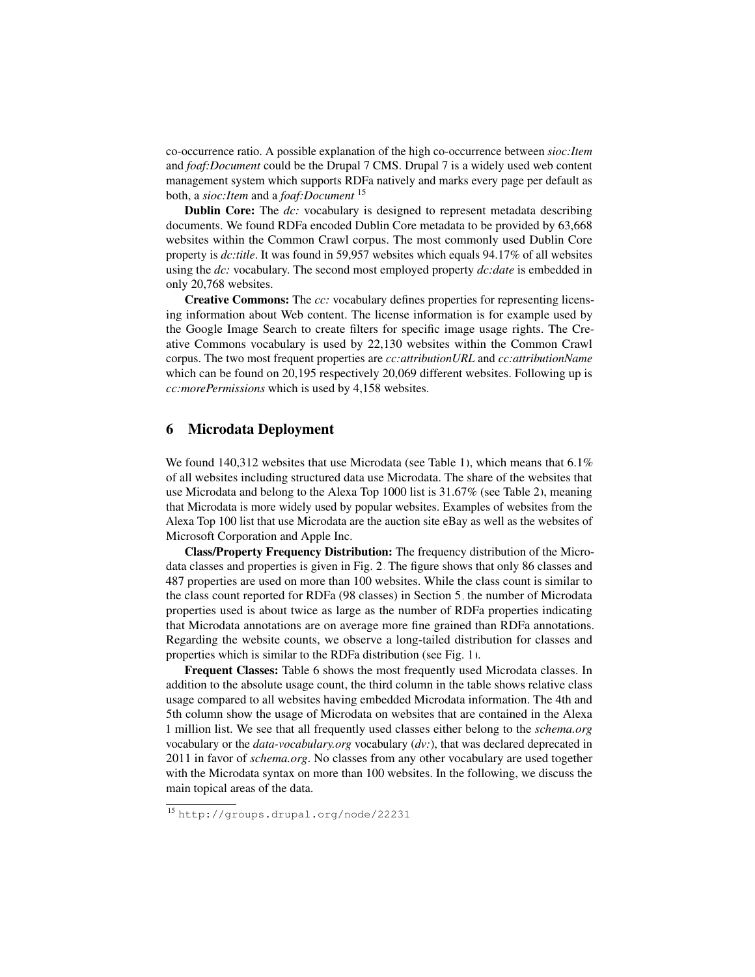co-occurrence ratio. A possible explanation of the high co-occurrence between *sioc:Item* and *foaf:Document* could be the Drupal 7 CMS. Drupal 7 is a widely used web content management system which supports RDFa natively and marks every page per default as both, a *sioc:Item* and a *foaf:Document*. [15](#page-7-1)

Dublin Core: The *dc:* vocabulary is designed to represent metadata describing documents. We found RDFa encoded Dublin Core metadata to be provided by 63,668 websites within the Common Crawl corpus. The most commonly used Dublin Core property is *dc:title*. It was found in 59,957 websites which equals 94.17% of all websites using the *dc:* vocabulary. The second most employed property *dc:date* is embedded in only 20,768 websites.

Creative Commons: The *cc:* vocabulary defines properties for representing licensing information about Web content. The license information is for example used by the Google Image Search to create filters for specific image usage rights. The Creative Commons vocabulary is used by 22,130 websites within the Common Crawl corpus. The two most frequent properties are *cc:attributionURL* and *cc:attributionName* which can be found on 20,195 respectively 20,069 different websites. Following up is *cc:morePermissions* which is used by 4,158 websites.

#### <span id="page-7-0"></span>6 Microdata Deployment

We found 140,312 websites that use Microdata (see Table [1\)](#page-3-0), which means that 6.1% of all websites including structured data use Microdata. The share of the websites that use Microdata and belong to the Alexa Top 1000 list is 31.67% (see Table [2\)](#page-3-2), meaning that Microdata is more widely used by popular websites. Examples of websites from the Alexa Top 100 list that use Microdata are the auction site eBay as well as the websites of Microsoft Corporation and Apple Inc.

Class/Property Frequency Distribution: The frequency distribution of the Microdata classes and properties is given in Fig. [2.](#page-8-0) The figure shows that only 86 classes and 487 properties are used on more than 100 websites. While the class count is similar to the class count reported for RDFa (98 classes) in Section [5,](#page-4-0) the number of Microdata properties used is about twice as large as the number of RDFa properties indicating that Microdata annotations are on average more fine grained than RDFa annotations. Regarding the website counts, we observe a long-tailed distribution for classes and properties which is similar to the RDFa distribution (see Fig. [1\)](#page-5-0).

Frequent Classes: Table [6](#page-8-1) shows the most frequently used Microdata classes. In addition to the absolute usage count, the third column in the table shows relative class usage compared to all websites having embedded Microdata information. The 4th and 5th column show the usage of Microdata on websites that are contained in the Alexa 1 million list. We see that all frequently used classes either belong to the *schema.org* vocabulary or the *data-vocabulary.org* vocabulary (*dv:*), that was declared deprecated in 2011 in favor of *schema.org*. No classes from any other vocabulary are used together with the Microdata syntax on more than 100 websites. In the following, we discuss the main topical areas of the data.

<span id="page-7-1"></span><sup>15</sup> <http://groups.drupal.org/node/22231>.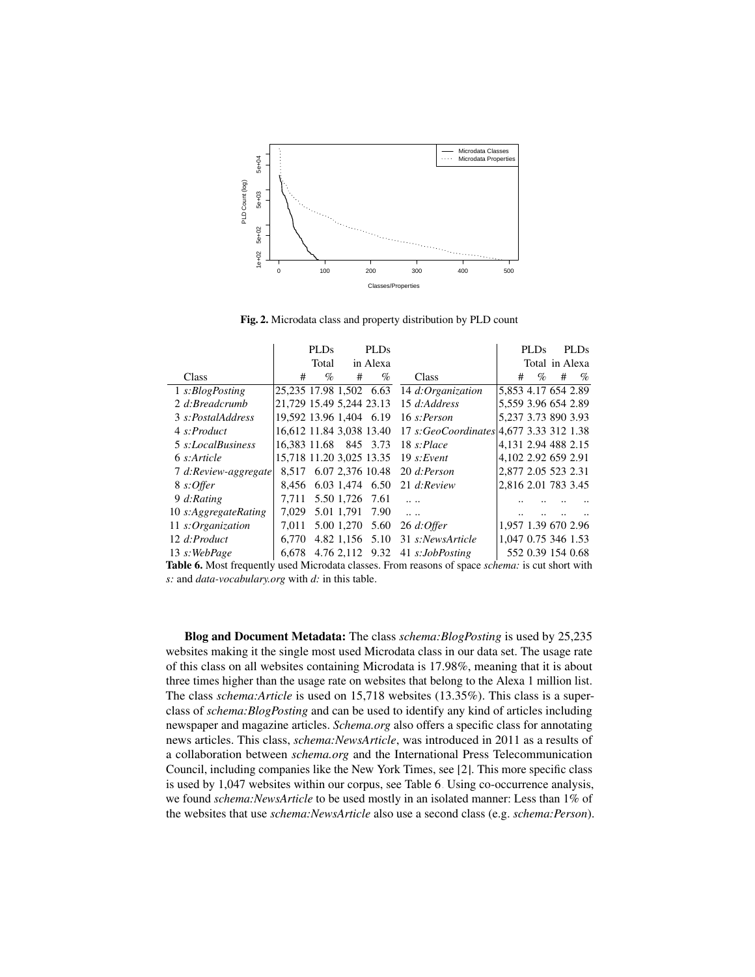

<span id="page-8-0"></span>Fig. 2. Microdata class and property distribution by PLD count

|                      |                          | <b>PLDs</b> |            | PLD <sub>s</sub>       |                                         |                     | PLDs |   | <b>PLDs</b>       |
|----------------------|--------------------------|-------------|------------|------------------------|-----------------------------------------|---------------------|------|---|-------------------|
|                      |                          | Total       |            | in Alexa               |                                         |                     |      |   | Total in Alexa    |
| <b>Class</b>         | #                        | $\%$        | #          | $\%$                   | Class                                   | #                   | $\%$ | # | $\%$              |
| 1 s:BlogPosting      | 25.235 17.98 1.502 6.63  |             |            |                        | 14 d:Organization                       | 5.853 4.17 654 2.89 |      |   |                   |
| 2 d:Breadcrumb       | 21.729 15.49 5.244 23.13 |             |            |                        | 15 d:Address                            | 5.559 3.96 654 2.89 |      |   |                   |
| 3 s:PostalAddress    | 19,592 13.96 1,404 6.19  |             |            |                        | 16 s:Person                             | 5,237 3.73 890 3.93 |      |   |                   |
| $4$ s: Product       | 16.612 11.84 3.038 13.40 |             |            |                        | 17 s:GeoCoordinates 4,677 3.33 312 1.38 |                     |      |   |                   |
| 5 s:LocalBusiness    | 16.383 11.68 845 3.73    |             |            |                        | $18$ s:Place                            | 4.131 2.94 488 2.15 |      |   |                   |
| 6 s:Article          | 15,718 11.20 3,025 13.35 |             |            |                        | $19$ s: Event                           | 4,102 2.92 659 2.91 |      |   |                   |
| 7 d:Review-aggregate |                          |             |            | 8,517 6.07 2,376 10.48 | 20 d:Person                             | 2,877 2.05 523 2.31 |      |   |                   |
| 8 s:Offer            |                          |             |            | 8,456 6.03 1,474 6.50  | 21 d:Review                             | 2,816 2.01 783 3.45 |      |   |                   |
| 9 d:Rating           | 7.711                    |             |            | 5.50 1,726 7.61        | $\cdots$                                |                     |      |   |                   |
| 10 s:AggregateRating | 7.029                    |             |            | 5.01 1.791 7.90        | $\cdots$                                |                     |      |   |                   |
| 11 s:Organization    | 7.011                    |             | 5.00 1,270 | 5.60                   | $26 d$ : Offer                          | 1,957 1.39 670 2.96 |      |   |                   |
| 12 d:Product         | 6.770                    |             |            | 4.82 1,156 5.10        | 31 s:NewsArticle                        | 1,047 0.75 346 1.53 |      |   |                   |
| 13 s: WebPage        | 6.678                    |             |            |                        | 4.76 2,112 9.32 41 s: JobPosting        |                     |      |   | 552 0.39 154 0.68 |

<span id="page-8-1"></span>Table 6. Most frequently used Microdata classes. From reasons of space *schema:* is cut short with *s:* and *data-vocabulary.org* with *d:* in this table.

Blog and Document Metadata: The class *schema:BlogPosting* is used by 25,235 websites making it the single most used Microdata class in our data set. The usage rate of this class on all websites containing Microdata is 17.98%, meaning that it is about three times higher than the usage rate on websites that belong to the Alexa 1 million list. The class *schema:Article* is used on 15,718 websites (13.35%). This class is a superclass of *schema:BlogPosting* and can be used to identify any kind of articles including newspaper and magazine articles. *Schema.org* also offers a specific class for annotating news articles. This class, *schema:NewsArticle*, was introduced in 2011 as a results of a collaboration between *schema.org* and the International Press Telecommunication Council, including companies like the New York Times, see [\[2\]](#page-15-6). This more specific class is used by 1,047 websites within our corpus, see Table [6.](#page-8-1) Using co-occurrence analysis, we found *schema:NewsArticle* to be used mostly in an isolated manner: Less than 1% of the websites that use *schema:NewsArticle* also use a second class (e.g. *schema:Person*).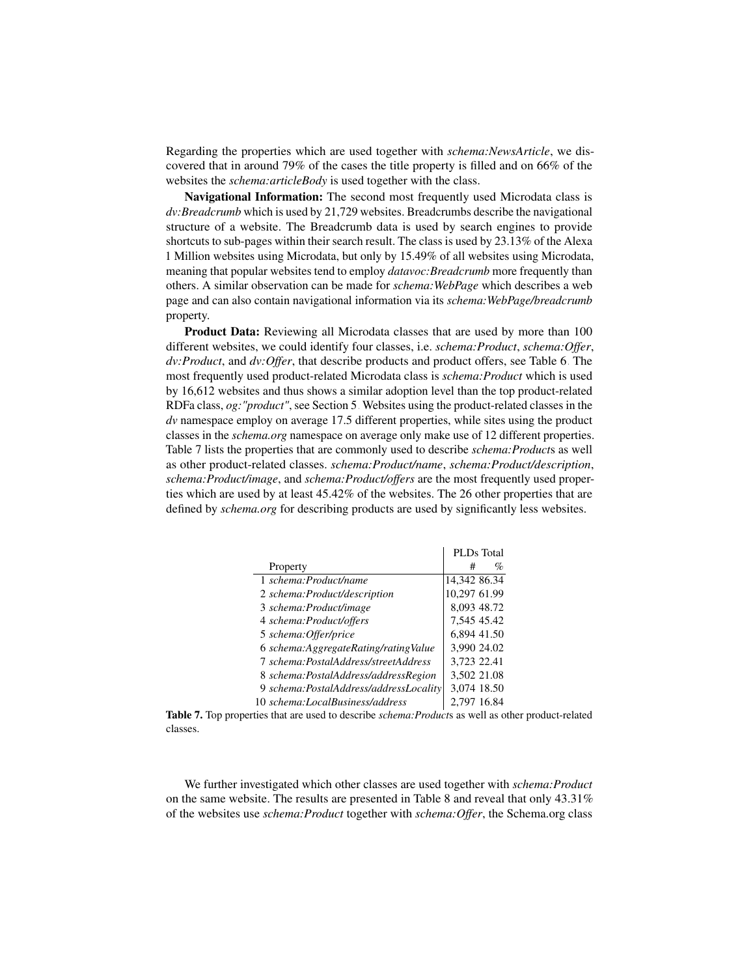Regarding the properties which are used together with *schema:NewsArticle*, we discovered that in around 79% of the cases the title property is filled and on 66% of the websites the *schema:articleBody* is used together with the class.

Navigational Information: The second most frequently used Microdata class is *dv:Breadcrumb* which is used by 21,729 websites. Breadcrumbs describe the navigational structure of a website. The Breadcrumb data is used by search engines to provide shortcuts to sub-pages within their search result. The class is used by 23.13% of the Alexa 1 Million websites using Microdata, but only by 15.49% of all websites using Microdata, meaning that popular websites tend to employ *datavoc:Breadcrumb* more frequently than others. A similar observation can be made for *schema:WebPage* which describes a web page and can also contain navigational information via its *schema:WebPage/breadcrumb* property.

Product Data: Reviewing all Microdata classes that are used by more than 100 different websites, we could identify four classes, i.e. *schema:Product*, *schema:Offer*, *dv:Product*, and *dv:Offer*, that describe products and product offers, see Table [6.](#page-8-1) The most frequently used product-related Microdata class is *schema:Product* which is used by 16,612 websites and thus shows a similar adoption level than the top product-related RDFa class, *og:"product"*, see Section [5.](#page-6-0) Websites using the product-related classes in the *dv* namespace employ on average 17.5 different properties, while sites using the product classes in the *schema.org* namespace on average only make use of 12 different properties. Table [7](#page-9-0) lists the properties that are commonly used to describe *schema:Product*s as well as other product-related classes. *schema:Product/name*, *schema:Product/description*, *schema:Product/image*, and *schema:Product/offers* are the most frequently used properties which are used by at least 45.42% of the websites. The 26 other properties that are defined by *schema.org* for describing products are used by significantly less websites.

|                                         | PLDs Total   |
|-----------------------------------------|--------------|
| Property                                | #<br>%       |
| 1 schema: Product/name                  | 14,342 86.34 |
| 2 schema: Product/description           | 10,297 61.99 |
| 3 schema: Product/image                 | 8.093 48.72  |
| 4 schema: Product/offers                | 7,545 45.42  |
| 5 schema: Offer/price                   | 6,894 41.50  |
| 6 schema:AggregateRating/ratingValue    | 3.990 24.02  |
| 7 schema: PostalAddress/streetAddress   | 3,723 22.41  |
| 8 schema: PostalAddress/addressRegion   | 3,502 21.08  |
| 9 schema: PostalAddress/addressLocality | 3.074 18.50  |
| 10 schema:LocalBusiness/address         | 2.797 16.84  |

<span id="page-9-0"></span>Table 7. Top properties that are used to describe *schema:Product*s as well as other product-related classes.

We further investigated which other classes are used together with *schema:Product* on the same website. The results are presented in Table [8](#page-10-0) and reveal that only 43.31% of the websites use *schema:Product* together with *schema:Offer*, the Schema.org class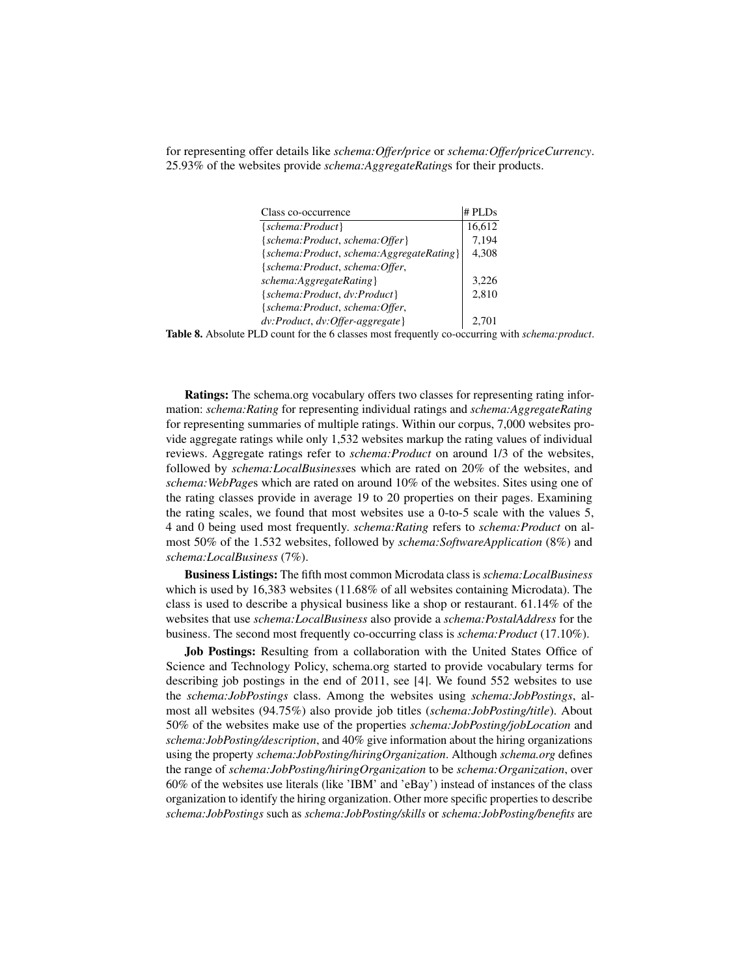for representing offer details like *schema:Offer/price* or *schema:Offer/priceCurrency*. 25.93% of the websites provide *schema:AggregateRating*s for their products.

| Class co-occurrence                         | $#$ PLDs |
|---------------------------------------------|----------|
| {schema: Product}                           | 16.612   |
| {schema: Product, schema: Offer }           | 7,194    |
| {schema: Product, schema: Aggregate Rating} | 4,308    |
| {schema: Product, schema: Offer,            |          |
| schema:AggregateRating}                     | 3,226    |
| {schema: Product, dv: Product}              | 2,810    |
| {schema: Product, schema: Offer,            |          |
| dv:Product, dv:Offer-aggregate}             | 2.701    |

<span id="page-10-0"></span>Table 8. Absolute PLD count for the 6 classes most frequently co-occurring with *schema:product*.

Ratings: The schema.org vocabulary offers two classes for representing rating information: *schema:Rating* for representing individual ratings and *schema:AggregateRating* for representing summaries of multiple ratings. Within our corpus, 7,000 websites provide aggregate ratings while only 1,532 websites markup the rating values of individual reviews. Aggregate ratings refer to *schema:Product* on around 1/3 of the websites, followed by *schema:LocalBusiness*es which are rated on 20% of the websites, and *schema:WebPage*s which are rated on around 10% of the websites. Sites using one of the rating classes provide in average 19 to 20 properties on their pages. Examining the rating scales, we found that most websites use a 0-to-5 scale with the values 5, 4 and 0 being used most frequently. *schema:Rating* refers to *schema:Product* on almost 50% of the 1.532 websites, followed by *schema:SoftwareApplication* (8%) and *schema:LocalBusiness* (7%).

Business Listings: The fifth most common Microdata class is *schema:LocalBusiness* which is used by 16,383 websites (11.68% of all websites containing Microdata). The class is used to describe a physical business like a shop or restaurant. 61.14% of the websites that use *schema:LocalBusiness* also provide a *schema:PostalAddress* for the business. The second most frequently co-occurring class is *schema:Product* (17.10%).

Job Postings: Resulting from a collaboration with the United States Office of Science and Technology Policy, schema.org started to provide vocabulary terms for describing job postings in the end of 2011, see [\[4\]](#page-15-7). We found 552 websites to use the *schema:JobPostings* class. Among the websites using *schema:JobPostings*, almost all websites (94.75%) also provide job titles (*schema:JobPosting/title*). About 50% of the websites make use of the properties *schema:JobPosting/jobLocation* and *schema:JobPosting/description*, and 40% give information about the hiring organizations using the property *schema:JobPosting/hiringOrganization*. Although *schema.org* defines the range of *schema:JobPosting/hiringOrganization* to be *schema:Organization*, over 60% of the websites use literals (like 'IBM' and 'eBay') instead of instances of the class organization to identify the hiring organization. Other more specific properties to describe *schema:JobPostings* such as *schema:JobPosting/skills* or *schema:JobPosting/benefits* are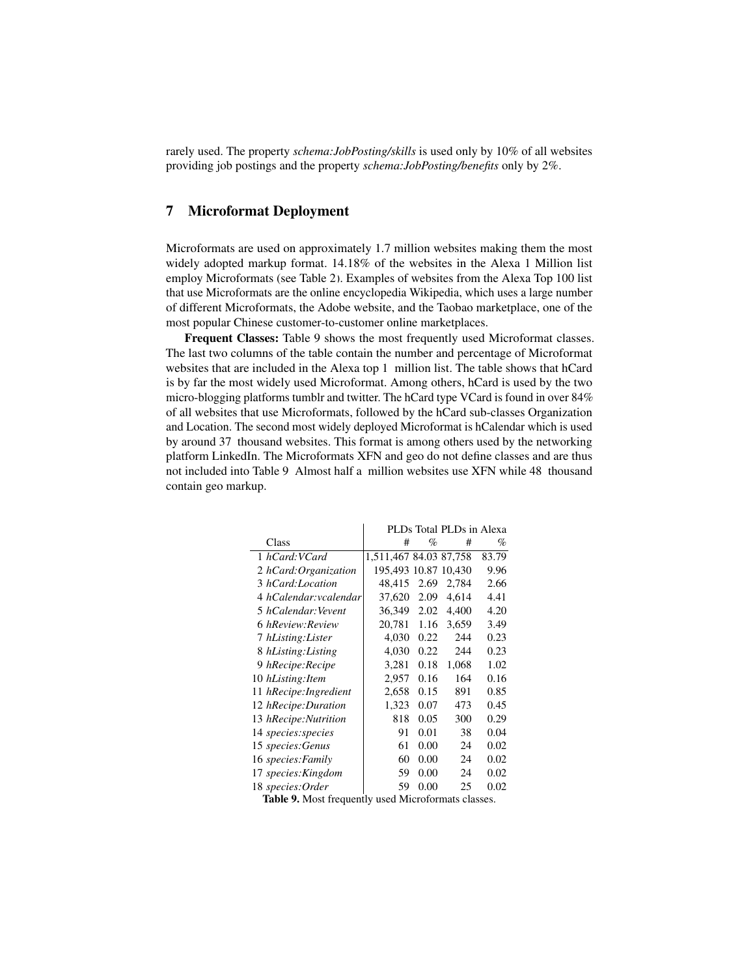rarely used. The property *schema:JobPosting/skills* is used only by 10% of all websites providing job postings and the property *schema:JobPosting/benefits* only by 2%.

# <span id="page-11-0"></span>7 Microformat Deployment

Microformats are used on approximately 1.7 million websites making them the most widely adopted markup format. 14.18% of the websites in the Alexa 1 Million list employ Microformats (see Table [2\)](#page-3-2). Examples of websites from the Alexa Top 100 list that use Microformats are the online encyclopedia Wikipedia, which uses a large number of different Microformats, the Adobe website, and the Taobao marketplace, one of the most popular Chinese customer-to-customer online marketplaces.

Frequent Classes: Table [9](#page-11-1) shows the most frequently used Microformat classes. The last two columns of the table contain the number and percentage of Microformat websites that are included in the Alexa top 1 million list. The table shows that hCard is by far the most widely used Microformat. Among others, hCard is used by the two micro-blogging platforms tumblr and twitter. The hCard type VCard is found in over 84% of all websites that use Microformats, followed by the hCard sub-classes Organization and Location. The second most widely deployed Microformat is hCalendar which is used by around 37 thousand websites. This format is among others used by the networking platform LinkedIn. The Microformats XFN and geo do not define classes and are thus not included into Table [9.](#page-11-1) Almost half a million websites use XFN while 48 thousand contain geo markup.

|                        |                        |      | PLDs Total PLDs in Alexa |       |
|------------------------|------------------------|------|--------------------------|-------|
| Class                  | #                      | %    | #                        | $\%$  |
| 1 hCard:VCard          | 1,511,467 84.03 87,758 |      |                          | 83.79 |
| 2 hCard: Organization  | 195,493 10.87 10.430   |      |                          | 9.96  |
| 3 hCard:Location       | 48,415                 | 2.69 | 2,784                    | 2.66  |
| 4 hCalendar: vcalendar | 37,620                 | 2.09 | 4,614                    | 4.41  |
| 5 hCalendar: Vevent    | 36,349                 | 2.02 | 4.400                    | 4.20  |
| 6 hReview:Review       | 20,781                 | 1.16 | 3,659                    | 3.49  |
| 7 hListing: Lister     | 4,030                  | 0.22 | 244                      | 0.23  |
| 8 hListing: Listing    | 4,030                  | 0.22 | 244                      | 0.23  |
| 9 hRecipe:Recipe       | 3,281                  | 0.18 | 1,068                    | 1.02  |
| 10 hListing: Item      | 2,957                  | 0.16 | 164                      | 0.16  |
| 11 hRecipe: Ingredient | 2,658                  | 0.15 | 891                      | 0.85  |
| 12 hRecipe: Duration   | 1,323                  | 0.07 | 473                      | 0.45  |
| 13 hRecipe: Nutrition  | 818                    | 0.05 | 300                      | 0.29  |
| 14 species: species    | 91                     | 0.01 | 38                       | 0.04  |
| 15 species: Genus      | 61                     | 0.00 | 24                       | 0.02  |
| 16 species: Family     | 60                     | 0.00 | 24                       | 0.02  |
| 17 species: Kingdom    | 59                     | 0.00 | 24                       | 0.02  |
| 18 species: Order      | 59                     | 0.00 | 25                       | 0.02  |
|                        |                        |      |                          |       |

<span id="page-11-1"></span>Table 9. Most frequently used Microformats classes.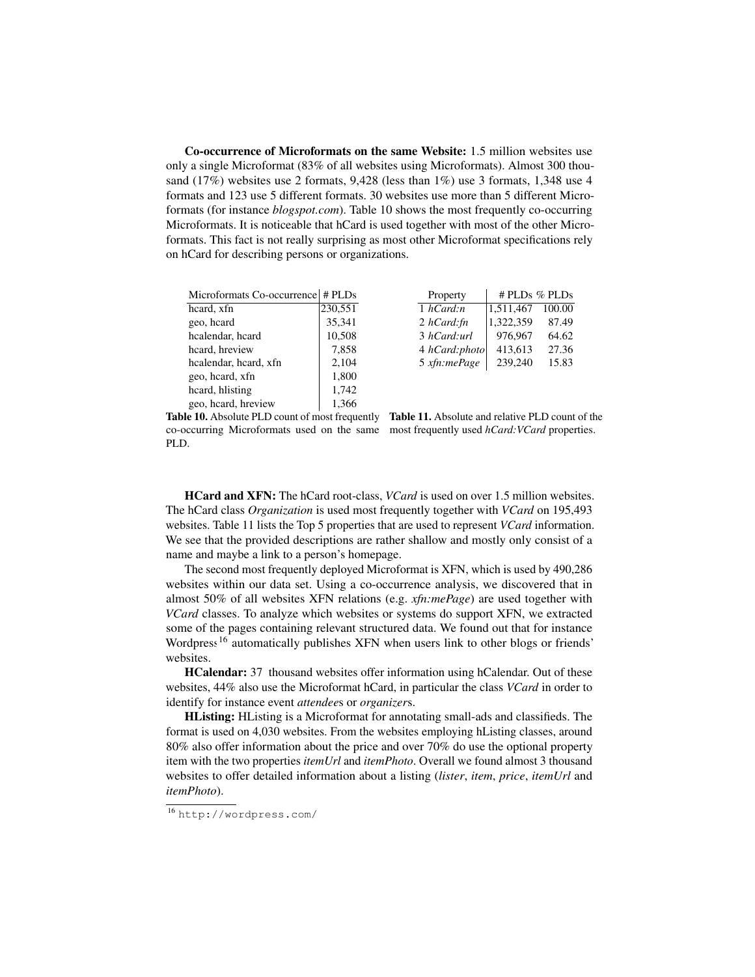Co-occurrence of Microformats on the same Website: 1.5 million websites use only a single Microformat (83% of all websites using Microformats). Almost 300 thousand  $(17\%)$  websites use 2 formats, 9,428 (less than  $1\%)$  use 3 formats, 1,348 use 4 formats and 123 use 5 different formats. 30 websites use more than 5 different Microformats (for instance *blogspot.com*). Table [10](#page-12-0) shows the most frequently co-occurring Microformats. It is noticeable that hCard is used together with most of the other Microformats. This fact is not really surprising as most other Microformat specifications rely on hCard for describing persons or organizations.

| Microformats Co-occurrence # PLDs |         |
|-----------------------------------|---------|
| heard, xfn                        | 230.551 |
| geo, heard                        | 35,341  |
| hcalendar, hcard                  | 10,508  |
| hcard, hreview                    | 7,858   |
| hcalendar, heard, xfn             | 2,104   |
| geo, heard, xfn                   | 1,800   |
| hcard, hlisting                   | 1,742   |
| geo, heard, hreview               | 1,366   |

<span id="page-12-1"></span>

| Property      |           | # PLDs % PLDs |
|---------------|-----------|---------------|
| $1$ hCard:n   | 1,511,467 | 100.00        |
| $2$ hCard:fn  | 1,322,359 | 87.49         |
| 3 hCard:url   | 976.967   | 64.62         |
| 4 hCard:photo | 413,613   | 27.36         |
| 5 xfn:mePage  | 239,240   | 15.83         |

<span id="page-12-0"></span>Table 10. Absolute PLD count of most frequently Table 11. Absolute and relative PLD count of the co-occurring Microformats used on the same most frequently used *hCard:VCard* properties. PLD.

HCard and XFN: The hCard root-class, *VCard* is used on over 1.5 million websites. The hCard class *Organization* is used most frequently together with *VCard* on 195,493 websites. Table [11](#page-12-1) lists the Top 5 properties that are used to represent *VCard* information. We see that the provided descriptions are rather shallow and mostly only consist of a name and maybe a link to a person's homepage.

The second most frequently deployed Microformat is XFN, which is used by 490,286 websites within our data set. Using a co-occurrence analysis, we discovered that in almost 50% of all websites XFN relations (e.g. *xfn:mePage*) are used together with *VCard* classes. To analyze which websites or systems do support XFN, we extracted some of the pages containing relevant structured data. We found out that for instance Wordpress<sup>[16](#page-12-2)</sup> automatically publishes XFN when users link to other blogs or friends' websites.

HCalendar: 37 thousand websites offer information using hCalendar. Out of these websites, 44% also use the Microformat hCard, in particular the class *VCard* in order to identify for instance event *attendee*s or *organizer*s.

HListing: HListing is a Microformat for annotating small-ads and classifieds. The format is used on 4,030 websites. From the websites employing hListing classes, around 80% also offer information about the price and over 70% do use the optional property item with the two properties *itemUrl* and *itemPhoto*. Overall we found almost 3 thousand websites to offer detailed information about a listing *(lister, item, price, itemUrl* and *itemPhoto*).

<span id="page-12-2"></span><sup>16</sup> <http://wordpress.com/>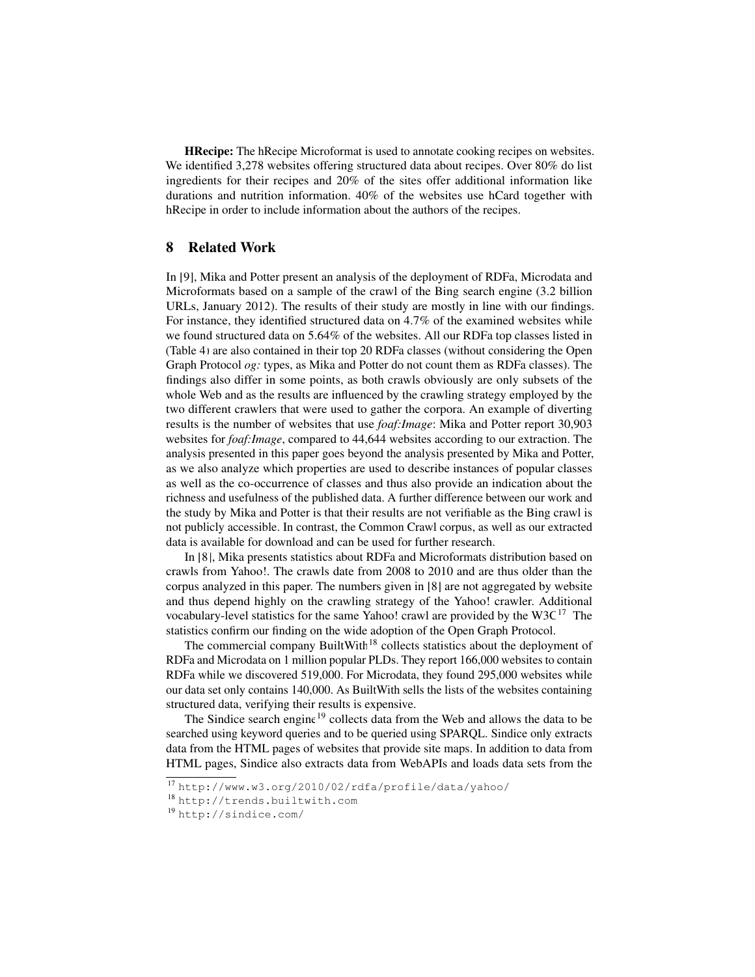HRecipe: The hRecipe Microformat is used to annotate cooking recipes on websites. We identified 3,278 websites offering structured data about recipes. Over 80% do list ingredients for their recipes and 20% of the sites offer additional information like durations and nutrition information. 40% of the websites use hCard together with hRecipe in order to include information about the authors of the recipes.

#### <span id="page-13-0"></span>8 Related Work

In [\[9\]](#page-15-5), Mika and Potter present an analysis of the deployment of RDFa, Microdata and Microformats based on a sample of the crawl of the Bing search engine (3.2 billion URLs, January 2012). The results of their study are mostly in line with our findings. For instance, they identified structured data on 4.7% of the examined websites while we found structured data on 5.64% of the websites. All our RDFa top classes listed in (Table [4\)](#page-5-1) are also contained in their top 20 RDFa classes (without considering the Open Graph Protocol *og:* types, as Mika and Potter do not count them as RDFa classes). The findings also differ in some points, as both crawls obviously are only subsets of the whole Web and as the results are influenced by the crawling strategy employed by the two different crawlers that were used to gather the corpora. An example of diverting results is the number of websites that use *foaf:Image*: Mika and Potter report 30,903 websites for *foaf:Image*, compared to 44,644 websites according to our extraction. The analysis presented in this paper goes beyond the analysis presented by Mika and Potter, as we also analyze which properties are used to describe instances of popular classes as well as the co-occurrence of classes and thus also provide an indication about the richness and usefulness of the published data. A further difference between our work and the study by Mika and Potter is that their results are not verifiable as the Bing crawl is not publicly accessible. In contrast, the Common Crawl corpus, as well as our extracted data is available for download and can be used for further research.

In [\[8\]](#page-15-4), Mika presents statistics about RDFa and Microformats distribution based on crawls from Yahoo!. The crawls date from 2008 to 2010 and are thus older than the corpus analyzed in this paper. The numbers given in [\[8\]](#page-15-4) are not aggregated by website and thus depend highly on the crawling strategy of the Yahoo! crawler. Additional vocabulary-level statistics for the same Yahoo! crawl are provided by the  $W3C^{17}$  $W3C^{17}$  $W3C^{17}$ . The statistics confirm our finding on the wide adoption of the Open Graph Protocol.

The commercial company BuiltWith $18$  collects statistics about the deployment of RDFa and Microdata on 1 million popular PLDs. They report 166,000 websites to contain RDFa while we discovered 519,000. For Microdata, they found 295,000 websites while our data set only contains 140,000. As BuiltWith sells the lists of the websites containing structured data, verifying their results is expensive.

The Sindice search engine<sup>[19](#page-13-3)</sup> collects data from the Web and allows the data to be searched using keyword queries and to be queried using SPARQL. Sindice only extracts data from the HTML pages of websites that provide site maps. In addition to data from HTML pages, Sindice also extracts data from WebAPIs and loads data sets from the

<span id="page-13-1"></span><sup>17</sup> <http://www.w3.org/2010/02/rdfa/profile/data/yahoo/>

<span id="page-13-2"></span><sup>18</sup> <http://trends.builtwith.com>

<span id="page-13-3"></span><sup>19</sup> <http://sindice.com/>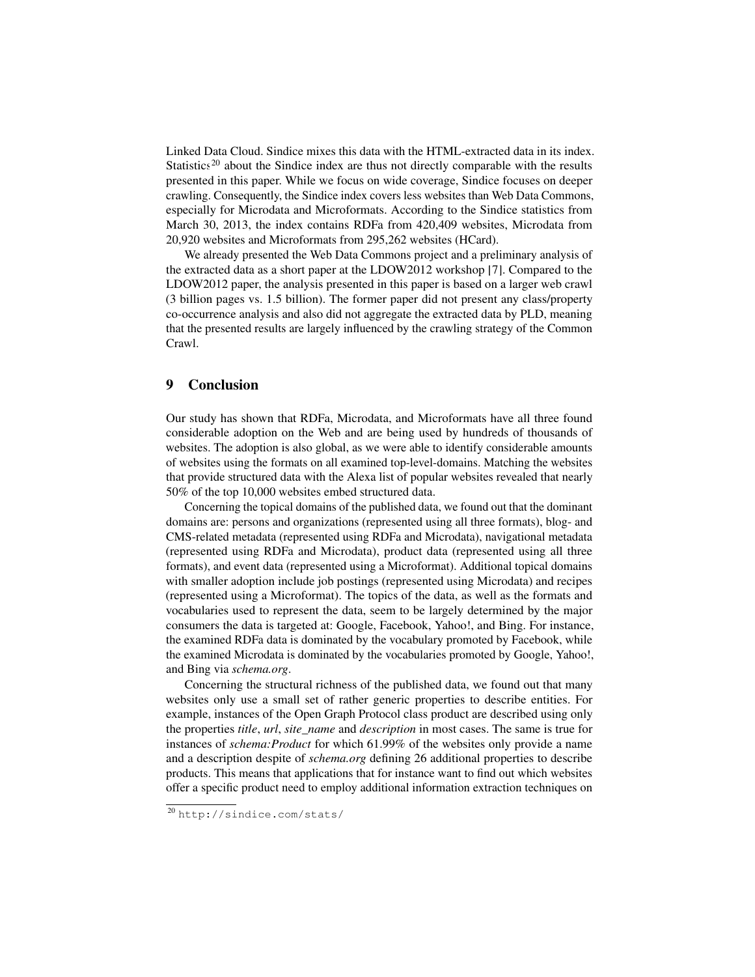Linked Data Cloud. Sindice mixes this data with the HTML-extracted data in its index. Statistics<sup>[20](#page-14-0)</sup> about the Sindice index are thus not directly comparable with the results presented in this paper. While we focus on wide coverage, Sindice focuses on deeper crawling. Consequently, the Sindice index covers less websites than Web Data Commons, especially for Microdata and Microformats. According to the Sindice statistics from March 30, 2013, the index contains RDFa from 420,409 websites, Microdata from 20,920 websites and Microformats from 295,262 websites (HCard).

We already presented the Web Data Commons project and a preliminary analysis of the extracted data as a short paper at the LDOW2012 workshop [\[7\]](#page-15-8). Compared to the LDOW2012 paper, the analysis presented in this paper is based on a larger web crawl (3 billion pages vs. 1.5 billion). The former paper did not present any class/property co-occurrence analysis and also did not aggregate the extracted data by PLD, meaning that the presented results are largely influenced by the crawling strategy of the Common Crawl.

#### 9 Conclusion

Our study has shown that RDFa, Microdata, and Microformats have all three found considerable adoption on the Web and are being used by hundreds of thousands of websites. The adoption is also global, as we were able to identify considerable amounts of websites using the formats on all examined top-level-domains. Matching the websites that provide structured data with the Alexa list of popular websites revealed that nearly 50% of the top 10,000 websites embed structured data.

Concerning the topical domains of the published data, we found out that the dominant domains are: persons and organizations (represented using all three formats), blog- and CMS-related metadata (represented using RDFa and Microdata), navigational metadata (represented using RDFa and Microdata), product data (represented using all three formats), and event data (represented using a Microformat). Additional topical domains with smaller adoption include job postings (represented using Microdata) and recipes (represented using a Microformat). The topics of the data, as well as the formats and vocabularies used to represent the data, seem to be largely determined by the major consumers the data is targeted at: Google, Facebook, Yahoo!, and Bing. For instance, the examined RDFa data is dominated by the vocabulary promoted by Facebook, while the examined Microdata is dominated by the vocabularies promoted by Google, Yahoo!, and Bing via *schema.org*.

Concerning the structural richness of the published data, we found out that many websites only use a small set of rather generic properties to describe entities. For example, instances of the Open Graph Protocol class product are described using only the properties *title*, *url*, *site\_name* and *description* in most cases. The same is true for instances of *schema:Product* for which 61.99% of the websites only provide a name and a description despite of *schema.org* defining 26 additional properties to describe products. This means that applications that for instance want to find out which websites offer a specific product need to employ additional information extraction techniques on

<span id="page-14-0"></span><sup>20</sup> <http://sindice.com/stats/>